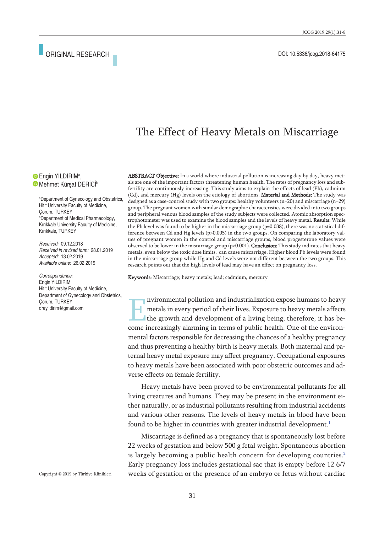# The Effect of Heavy Metals on Miscarriage

Engin YILDIRIM<sup>a</sup>, Mehmet Kürşat DERICI<sup>b</sup>

a Department of Gynecology and Obstetrics, Hitit University Faculty of Medicine, Çorum, TURKEY b Department of Medical Pharmacology, Kırıkkale University Faculty of Medicine, Kırıkkale, TURKEY

*Received:* 09.12.2018 *Received in revised form:* 28.01.2019 *Accepted:* 13.02.2019 *Available online*: 26.02.2019

*Correspondence:* Engin YILDIRIM Hitit University Faculty of Medicine, Department of Gynecology and Obstetrics, Çorum, TURKEY dreyildirim@gmail.com

ABSTRACT Objective: In a world where industrial pollution is increasing day by day, heavy metals are one of the important factors threatening human health. The rates of pregnancy loss and subfertility are continuously increasing. This study aims to explain the effects of lead (Pb), cadmium (Cd), and mercury (Hg) levels on the etiology of abortions. Material and Methods: The study was designed as a case-control study with two groups: healthy volunteers (n=20) and miscarriage (n=29) group. The pregnant women with similar demographic characteristics were divided into two groups and peripheral venous blood samples of the study subjects were collected. Atomic absorption spectrophotometer was used to examine the blood samples and the levels of heavy metal. Results: While the Pb level was found to be higher in the miscarriage group (p=0.038), there was no statistical difference between Cd and Hg levels (p>0.005) in the two groups. On comparing the laboratory values of pregnant women in the control and miscarriage groups, blood progesterone values were observed to be lower in the miscarriage group ( $p<0.001$ ). **Conclusion:** This study indicates that heavy metals, even below the toxic dose limits, can cause miscarriage. Higher blood Pb levels were found in the miscarriage group while Hg and Cd levels were not different between the two groups. This research points out that the high levels of lead may have an effect on pregnancy loss.

Keywords: Miscarriage; heavy metals; lead; cadmium, mercury

nvironmental pollution and industrialization expose humans to heavy metals in every period of their lives. Exposure to heavy metals affects the growth and development of a living being; therefore, it has become increasingly alarming in terms of public health. One of the environmental factors responsible for decreasing the chances of a healthy pregnancy and thus preventing a healthy birth is heavy metals. Both maternal and paternal heavy metal exposure may affect pregnancy. Occupational exposures to heavy metals have been associated with poor obstetric outcomes and adverse effects on female fertility.

Heavy metals have been proved to be environmental pollutants for all living creatures and humans. They may be present in the environment either naturally, or as industrial pollutants resulting from industrial accidents and various other reasons. The levels of heavy metals in blood have been found to be higher in countries with greater industrial development.<sup>[1](#page-6-0)</sup>

Miscarriage is defined as a pregnancy that is spontaneously lost before 22 weeks of gestation and below 500 g fetal weight. Spontaneous abortion is largely becoming a public health concern for developing countries.<sup>[2](#page-6-0)</sup> Early pregnancy loss includes gestational sac that is empty before 12 6/7 weeks of gestation or the presence of an embryo or fetus without cardiac

Copyright © 2019 by Türkiye Klinikleri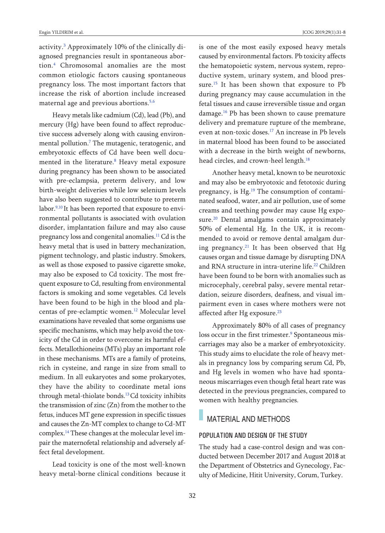activity. [3](#page-6-0) Approximately 10% of the clinically diagnosed pregnancies result in spontaneous abortion. [4](#page-6-0) Chromosomal anomalies are the most common etiologic factors causing spontaneous pregnancy loss. The most important factors that increase the risk of abortion include increased maternal age and previous abortions. [5,6](#page-6-0)

Heavy metals like cadmium (Cd), lead (Pb), and mercury (Hg) have been found to affect reproductive success adversely along with causing environmental pollution. [7](#page-6-0) The mutagenic, teratogenic, and embryotoxic effects of Cd have been well documented in the literature. [8](#page-6-0) Heavy metal exposure during pregnancy has been shown to be associated with pre-eclampsia, preterm delivery, and low birth-weight deliveries while low selenium levels have also been suggested to contribute to preterm labor. [9,10](#page-6-0) It has been reported that exposure to environmental pollutants is associated with ovulation disorder, implantation failure and may also cause pregnancy loss and congenital anomalies. [11](#page-6-0) Cd is the heavy metal that is used in battery mechanization, pigment technology, and plastic industry. Smokers, as well as those exposed to passive cigarette smoke, may also be exposed to Cd toxicity. The most frequent exposure to Cd, resulting from environmental factors is smoking and some vegetables. Cd levels have been found to be high in the blood and placentas of pre-eclamptic women. [12](#page-6-0) Molecular level examinations have revealed that some organisms use specific mechanisms, which may help avoid the toxicity of the Cd in order to overcome its harmful effects. Metallothioneins (MTs) play an important role in these mechanisms. MTs are a family of proteins, rich in cysteine, and range in size from small to medium. In all eukaryotes and some prokaryotes, they have the ability to coordinate metal ions through metal-thiolate bonds. [13C](#page-6-0)d toxicity inhibits the transmission of zinc  $(Zn)$  from the mother to the fetus, induces MT gene expression in specific tissues and causes the Zn-MT complex to change to Cd-MT complex. [14](#page-6-0) These changes at the molecular level impair the maternofetal relationship and adversely affect fetal development.

Lead toxicity is one of the most well-known heavy metal-borne clinical conditions because it is one of the most easily exposed heavy metals caused by environmental factors. Pb toxicity affects the hematopoietic system, nervous system, reproductive system, urinary system, and blood pressure. [15](#page-6-0) It has been shown that exposure to Pb during pregnancy may cause accumulation in the fetal tissues and cause irreversible tissue and organ damage. [16](#page-6-0) Pb has been shown to cause premature delivery and premature rupture of the membrane, even at non-toxic doses. [17](#page-6-0) An increase in Pb levels in maternal blood has been found to be associated with a decrease in the birth weight of newborns, head circles, and crown-heel length. [18](#page-6-0)

Another heavy metal, known to be neurotoxic and may also be embryotoxic and fetotoxic during pregnancy, is Hg.<sup>[19](#page-6-0)</sup> The consumption of contaminated seafood, water, and air pollution, use of some creams and teething powder may cause Hg expo-sure.<sup>[20](#page-6-0)</sup> Dental amalgams contain approximately 50% of elemental Hg. In the UK, it is recommended to avoid or remove dental amalgam during pregnancy. [21](#page-6-0) It has been observed that Hg causes organ and tissue damage by disrupting DNA and RNA structure in intra-uterine life. [22](#page-6-0) Children have been found to be born with anomalies such as microcephaly, cerebral palsy, severe mental retardation, seizure disorders, deafness, and visual impairment even in cases where mothers were not affected after Hg exposure. [23](#page-6-0)

Approximately 80% of all cases of pregnancy loss occur in the first trimester. [9](#page-6-0) Spontaneous miscarriages may also be a marker of embryotoxicity. This study aims to elucidate the role of heavy metals in pregnancy loss by comparing serum Cd, Pb, and Hg levels in women who have had spontaneous miscarriages even though fetal heart rate was detected in the previous pregnancies, compared to women with healthy pregnancies.

### MATERIAL AND METHODS

#### POPULATION AND DESIGN OF THE STUDY

The study had a case-control design and was conducted between December 2017 and August 2018 at the Department of Obstetrics and Gynecology, Faculty of Medicine, Hitit University, Corum, Turkey.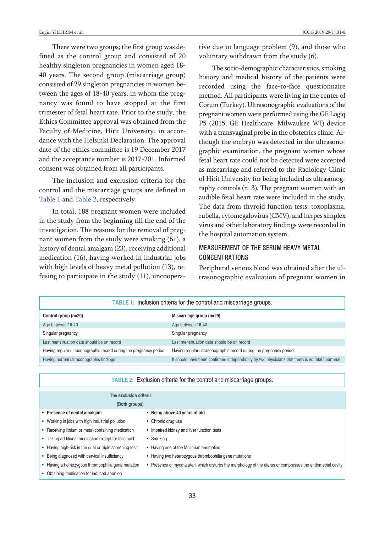There were two groups; the first group was defined as the control group and consisted of 20 healthy singleton pregnancies in women aged 18- 40 years. The second group (miscarriage group) consisted of 29 singleton pregnancies in women between the ages of 18-40 years, in whom the pregnancy was found to have stopped at the first trimester of fetal heart rate. Prior to the study, the Ethics Committee approval was obtained from the Faculty of Medicine, Hitit University, in accordance with the Helsinki Declaration. The approval date of the ethics committee is 19 December 2017 and the acceptance number is 2017-201. Informed consent was obtained from all participants.

The inclusion and exclusion criteria for the control and the miscarriage groups are defined in [Table](#page-2-1) 1 and [Table](#page-2-0) 2, respectively.

In total, 188 pregnant women were included in the study from the beginning till the end of the investigation. The reasons for the removal of pregnant women from the study were smoking (61), a history of dental amalgam (23), receiving additional medication (16), having worked in industrial jobs with high levels of heavy metal pollution (13), refusing to participate in the study (11), uncooperative due to language problem (9), and those who voluntary withdrawn from the study (6).

The socio-demographic characteristics, smoking history and medical history of the patients were recorded using the face-to-face questionnaire method. All participants were living in the center of Corum (Turkey). Ultrasonographic evaluations of the pregnant women were performed using the GE Logiq P5 (2015, GE Healthcare, Milwaukee WI) device with a transvaginal probe in the obstetrics clinic. Although the embryo was detected in the ultrasonographic examination, the pregnant women whose fetal heart rate could not be detected were accepted as miscarriage and referred to the Radiology Clinic of Hitit University for being included as ultrasonography controls (n=3). The pregnant women with an audible fetal heart rate were included in the study. The data from thyroid function tests, toxoplasma, rubella, cytomegalovirus (CMV), and herpes simplex virus and other laboratory findings were recorded in the hospital automation system.

### MEASUREMENT OF THE SERUM HEAVY METAL CONCENTRATIONS

<span id="page-2-1"></span><span id="page-2-0"></span>Peripheral venous blood was obtained after the ultrasonographic evaluation of pregnant women in

| <b>TABLE 1:</b> Inclusion criteria for the control and miscarriage groups. |                                                                                                |  |  |
|----------------------------------------------------------------------------|------------------------------------------------------------------------------------------------|--|--|
| Control group (n=20)                                                       | Miscarriage group (n=29)                                                                       |  |  |
| Age between 18-40                                                          | Age between 18-40                                                                              |  |  |
| Singular pregnancy                                                         | Singular pregnancy                                                                             |  |  |
| Last menstruation date should be on record                                 | Last menstruation date should be on record                                                     |  |  |
| Having regular ultrasonographic record during the pregnancy period         | Having regular ultrasonographic record during the pregnancy period                             |  |  |
| Having normal ultrasonographic findings                                    | It should have been confirmed independently by two physicians that there is no fetal heartbeat |  |  |

| <b>TABLE 2:</b> Exclusion criteria for the control and miscarriage groups. |                                                                                                                |  |  |
|----------------------------------------------------------------------------|----------------------------------------------------------------------------------------------------------------|--|--|
| The exclusion criteria                                                     |                                                                                                                |  |  |
| (Both groups)                                                              |                                                                                                                |  |  |
| • Presence of dental amalgam                                               | Being above 40 years of old                                                                                    |  |  |
| • Working in jobs with high industrial pollution                           | • Chronic drug use                                                                                             |  |  |
| Receiving lithium or metal-containing medication<br>$\bullet$              | • Impaired kidney and liver function tests                                                                     |  |  |
| • Taking additional medication except for folic acid                       | • Smoking                                                                                                      |  |  |
| • Having high-risk in the dual or triple screening test                    | • Having one of the Müllerian anomalies                                                                        |  |  |
| Being diagnosed with cervical insufficiency                                | • Having two heterozygous thrombophilia gene mutations                                                         |  |  |
| Having a homozygous thrombophilia gene mutation                            | Presence of myoma uteri, which disturbs the morphology of the uterus or compresses the endometrial cavity<br>٠ |  |  |
| Obtaining medication for induced abortion                                  |                                                                                                                |  |  |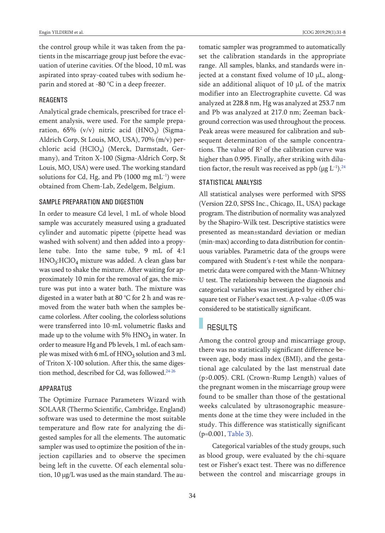the control group while it was taken from the patients in the miscarriage group just before the evacuation of uterine cavities. Of the blood, 10 mL was aspirated into spray-coated tubes with sodium heparin and stored at -80 °C in a deep freezer.

#### REAGENTS

Analytical grade chemicals, prescribed for trace element analysis, were used. For the sample preparation,  $65\%$  (v/v) nitric acid (HNO<sub>3</sub>) (Sigma-Aldrich Corp, St Louis, MO, USA), 70% (m/v) perchloric acid (HClO<sub>4</sub>) (Merck, Darmstadt, Germany), and Triton X-100 (Sigma-Aldrich Corp, St Louis, MO, USA) were used. The working standard solutions for Cd, Hg, and Pb (1000  $\rm mg\;mL^{-1})$  were obtained from Chem-Lab, Zedelgem, Belgium.

#### SAMPLE PREPARATION AND DIGESTION

In order to measure Cd level, 1 mL of whole blood sample was accurately measured using a graduated cylinder and automatic pipette (pipette head was washed with solvent) and then added into a propylene tube. Into the same tube, 9 mL of 4:1 HNO3:HClO4 mixture was added. A clean glass bar was used to shake the mixture. After waiting for approximately 10 min for the removal of gas, the mixture was put into a water bath. The mixture was digested in a water bath at 80 °C for 2 h and was removed from the water bath when the samples became colorless. After cooling, the colorless solutions were transferred into 10-mL volumetric flasks and made up to the volume with  $5\%$  HNO<sub>3</sub> in water. In order to measure Hg and Pb levels, 1 mL of each sample was mixed with 6 mL of  $HNO<sub>3</sub>$  solution and 3 mL of Triton X-100 solution. After this, the same digestion method, described for Cd, was followed. [24-26](#page-6-0)

#### APPARATUS

The Optimize Furnace Parameters Wizard with SOLAAR (Thermo Scientific, Cambridge, England) software was used to determine the most suitable temperature and flow rate for analyzing the digested samples for all the elements. The automatic sampler was used to optimize the position of the injection capillaries and to observe the specimen being left in the cuvette. Of each elemental solution, 10 μg/L was used as the main standard. The automatic sampler was programmed to automatically set the calibration standards in the appropriate range. All samples, blanks, and standards were injected at a constant fixed volume of 10 μL, alongside an additional aliquot of 10 μL of the matrix modifier into an Electrographite cuvette. Cd was analyzed at 228.8 nm, Hg was analyzed at 253.7 nm and Pb was analyzed at 217.0 nm; Zeeman background correction was used throughout the process. Peak areas were measured for calibration and subsequent determination of the sample concentrations. The value of  $R^2$  of the calibration curve was higher than 0.995. Finally, after striking with dilution factor, the result was received as ppb ( $\mu$ g L<sup>-1</sup>).<sup>[24](#page-6-0)</sup>

#### STATISTICAL ANALYSIS

All statistical analyses were performed with SPSS (Version 22.0, SPSS Inc., Chicago, IL, USA) package program. The distribution of normality was analyzed by the Shapiro-Wilk test. Descriptive statistics were presented as mean±standard deviation or median (min-max) according to data distribution for continuous variables. Parametric data of the groups were compared with Student's <sup>t</sup>-test while the nonparametric data were compared with the Mann-Whitney U test. The relationship between the diagnosis and categorical variables was investigated by either chisquare test or Fisher's exact test. A p-value <0.05 was considered to be statistically significant.

# RESULTS

Among the control group and miscarriage group, there was no statistically significant difference between age, body mass index (BMI), and the gestational age calculated by the last menstrual date (p>0.005). CRL (Crown-Rump Length) values of the pregnant women in the miscarriage group were found to be smaller than those of the gestational weeks calculated by ultrasonographic measurements done at the time they were included in the study. This difference was statistically significant (p=0.001, [Table](#page-4-0) 3).

Categorical variables of the study groups, such as blood group, were evaluated by the chi-square test or Fisher's exact test. There was no difference between the control and miscarriage groups in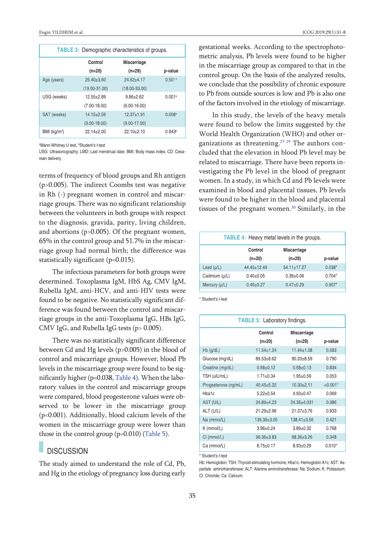| <b>TABLE 3:</b> Demographic characteristics of groups. |                   |                    |                      |  |
|--------------------------------------------------------|-------------------|--------------------|----------------------|--|
|                                                        | Control           | <b>Miscarriage</b> |                      |  |
|                                                        | $(n=20)$          | $(n=29)$           | p-value              |  |
| Age (years)                                            | $25.40 \pm 3.60$  | $24.62 + 4.17$     | 0.501a               |  |
|                                                        | $(19.00 - 31.00)$ | $(18.00 - 33.00)$  |                      |  |
| USG (weeks)                                            | $12.55 + 2.89$    | $9.86 \pm 2.62$    | 0.001a               |  |
|                                                        | $(7.00 - 18.00)$  | $(6.00 - 16.00)$   |                      |  |
| SAT (weeks)                                            | $14.15 + 2.56$    | $12.37 + 1.91$     | $0.008$ <sup>a</sup> |  |
|                                                        | $(9.00 - 18.00)$  | $(9.00 - 17.00)$   |                      |  |
| BMI (kg/m <sup>2</sup> )                               | $22.14 \pm 2.00$  | $22.10+2.10$       | 0.943 <sup>b</sup>   |  |

<sup>a</sup>Mann-Whitney U test, <sup>b</sup>Student's t-test

USG: Ultrasonography; LMD: Last menstrual date; BMI: Body mass index, CD: Cesarean delivery.

terms of frequency of blood groups and Rh antigen (p>0.005). The indirect Coombs test was negative in Rh (-) pregnant women in control and miscarriage groups. There was no significant relationship between the volunteers in both groups with respect to the diagnosis, gravida, parity, living children, and abortions (p>0.005). Of the pregnant women, 65% in the control group and 51.7% in the miscarriage group had normal birth; the difference was statistically significant (p=0.015).

The infectious parameters for both groups were determined. Toxoplasma IgM, HbS Ag, CMV IgM, Rubella IgM, anti-HCV, and anti-HIV tests were found to be negative. No statistically significant difference was found between the control and miscarriage groups in the anti-Toxoplasma IgG, HBs IgG, CMV IgG, and Rubella IgG tests (p> 0.005).

There was no statistically significant difference between Cd and Hg levels (p>0.005) in the blood of control and miscarriage groups. However, blood Pb levels in the miscarriage group were found to be significantly higher ( $p=0.038$ , [Table](#page-4-2) 4). When the laboratory values in the control and miscarriage groups were compared, blood progesterone values were observed to be lower in the miscarriage group (p<0.001). Additionally, blood calcium levels of the women in the miscarriage group were lower than those in the control group (p=0.010) [\(Table](#page-4-1) 5).

### **DISCUSSION**

The study aimed to understand the role of Cd, Pb, and Hg in the etiology of pregnancy loss during early <span id="page-4-0"></span>gestational weeks. According to the spectrophotometric analysis, Pb levels were found to be higher in the miscarriage group as compared to that in the control group. On the basis of the analyzed results, we conclude that the possibility of chronic exposure to Pb from outside sources is low and Pb is also one of the factors involved in the etiology of miscarriage.

In this study, the levels of the heavy metals were found to below the limits suggested by the World Health Organization (WHO) and other or-ganizations as threatening.<sup>[27-29](#page-6-0)</sup> The authors concluded that the elevation in blood Pb level may be related to miscarriage. There have been reports investigating the Pb level in the blood of pregnant women. In a study, in which Cd and Pb levels were examined in blood and placental tissues, Pb levels were found to be higher in the blood and placental tissues of the pregnant women. [30](#page-6-0) Similarly, in the

<span id="page-4-2"></span>

| <b>TABLE 4:</b> Heavy metal levels in the groups. |                 |                    |          |  |  |
|---------------------------------------------------|-----------------|--------------------|----------|--|--|
|                                                   | Control         | <b>Miscarriage</b> |          |  |  |
|                                                   | $(n=20)$        | $(n=29)$           | p-value  |  |  |
| Lead $(\mu/L)$                                    | $44.45 + 12.49$ | $54.11 \pm 17.27$  | $0.038*$ |  |  |
| Cadmium (µ/L)                                     | $0.40 \pm 0.05$ | $0.39 + 0.06$      | $0.704*$ |  |  |
| Mercury (µ/L)                                     | $0.46 \pm 0.27$ | $0.47+0.29$        | $0.907*$ |  |  |

\* Student's t-test

<span id="page-4-1"></span>

| <b>TABLE 5: Laboratory findings.</b> |                   |                   |            |  |  |
|--------------------------------------|-------------------|-------------------|------------|--|--|
|                                      | Control           | Miscarriage       |            |  |  |
|                                      | $(n=20)$          | $(n=29)$          | p-value    |  |  |
| $Hb$ (g/dL)                          | $11.54 \pm 1.24$  | $11.44 \pm 1.08$  | 0.583      |  |  |
| Glucose (mg/dL)                      | $89.53 + 8.62$    | $90.20 + 8.59$    | 0.790      |  |  |
| Creatine (mg/dL)                     | $0.68 \pm 0.12$   | $0.68 \pm 0.13$   | 0.834      |  |  |
| TSH (ulU/mL)                         | $1.71 \pm 0.34$   | $1.95 \pm 0.59$   | 0.053      |  |  |
| Progesterone (ng/mL)                 | $40.45 + 5.22$    | $10.30 + 2.11$    | $< 0.001*$ |  |  |
| Hba1c                                | $5.22 \pm 0.54$   | $4.93 \pm 0.47$   | 0.069      |  |  |
| AST (U/L)                            | $24.89 + 4.23$    | $24.35 + 4.031$   | 0.986      |  |  |
| ALT (U/L)                            | $21.29 + 2.96$    | $21.37 + 3.76$    | 0.933      |  |  |
| $Na$ (mmol/L)                        | $139.39 \pm 3.05$ | $138.41 \pm 3.56$ | 0.421      |  |  |
| K (mmol/L)                           | $3.96 \pm 0.24$   | $3.89 \pm 0.32$   | 0.768      |  |  |
| $Cl$ (mmol/L)                        | $99.36 \pm 3.83$  | $98.36 \pm 3.26$  | 0.348      |  |  |
| Ca (mmol/L)                          | $8.75 \pm 0.17$   | $8.93 \pm 0.29$   | $0.010*$   |  |  |

\* Student's t-test

Hb: Hemoglobin; TSH: Thyroid-stimulating hormone; Hba1c: Hemoglobin A1c; AST: Aspartate aminotransferase; ALT: Alanine aminotransferase; Na: Sodium; K: Potassium; Cl: Chloride; Ca: Calcium.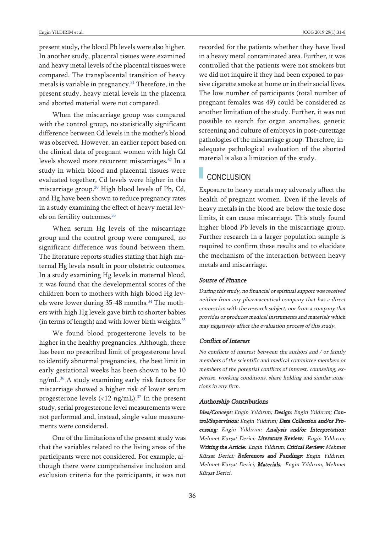present study, the blood Pb levels were also higher. In another study, placental tissues were examined and heavy metal levels of the placental tissues were compared. The transplacental transition of heavy metals is variable in pregnancy. [31](#page-6-0) Therefore, in the present study, heavy metal levels in the placenta and aborted material were not compared.

When the miscarriage group was compared with the control group, no statistically significant difference between Cd levels in the mother's blood was observed. However, an earlier report based on the clinical data of pregnant women with high Cd levels showed more recurrent miscarriages. [32](#page-6-0) In a study in which blood and placental tissues were evaluated together, Cd levels were higher in the miscarriage group. [30](#page-6-0) High blood levels of Pb, Cd, and Hg have been shown to reduce pregnancy rates in a study examining the effect of heavy metal levels on fertility outcomes. [33](#page-6-0)

When serum Hg levels of the miscarriage group and the control group were compared, no significant difference was found between them. The literature reports studies stating that high maternal Hg levels result in poor obstetric outcomes. In a study examining Hg levels in maternal blood, it was found that the developmental scores of the children born to mothers with high blood Hg levels were lower during 35-48 months. [34](#page-6-0) The mothers with high Hg levels gave birth to shorter babies (in terms of length) and with lower birth weights. [35](#page-6-0)

We found blood progesterone levels to be higher in the healthy pregnancies. Although, there has been no prescribed limit of progesterone level to identify abnormal pregnancies, the best limit in early gestational weeks has been shown to be 10 ng/mL. [36](#page-6-0) A study examining early risk factors for miscarriage showed a higher risk of lower serum progesterone levels (<12 ng/mL). [37](#page-6-0) In the present study, serial progesterone level measurements were not performed and, instead, single value measurements were considered.

One of the limitations of the present study was that the variables related to the living areas of the participants were not considered. For example, although there were comprehensive inclusion and exclusion criteria for the participants, it was not recorded for the patients whether they have lived in a heavy metal contaminated area. Further, it was controlled that the patients were not smokers but we did not inquire if they had been exposed to passive cigarette smoke at home or in their social lives. The low number of participants (total number of pregnant females was 49) could be considered as another limitation of the study. Further, it was not possible to search for organ anomalies, genetic screening and culture of embryos in post-curettage pathologies of the miscarriage group. Therefore, inadequate pathological evaluation of the aborted material is also a limitation of the study.

## **CONCLUSION**

Exposure to heavy metals may adversely affect the health of pregnant women. Even if the levels of heavy metals in the blood are below the toxic dose limits, it can cause miscarriage. This study found higher blood Pb levels in the miscarriage group. Further research in a larger population sample is required to confirm these results and to elucidate the mechanism of the interaction between heavy metals and miscarriage.

#### Source of Finance

During this study, no financial or spiritual support was received neither from any pharmaceutical company that has <sup>a</sup> direct connection with the research subject, nor from <sup>a</sup> company that provides or produces medical instruments and materials which may negatively affect the evaluation process of this study.

#### Conflict of Interest

No conflicts of interest between the authors and / or family members of the scientific and medical committee members or members of the potential conflicts of interest, counseling, expertise, working conditions, share holding and similar situations in any firm.

#### Authorship Contributions

Idea/Concept: Engin Yıldırım; Design: Engin Yıldırım; Control/Supervision: Engin Yıldırım; Data Collection and/or Processing: Engin Yıldırım; Analysis and/or Interpretation: Mehmet Kürşat Derici; Literature Review: Engin Yıldırım; Writing the Article: Engin Yıldırım; Critical Review: Mehmet Kürşat Derici; References and Fundings: Engin Yıldırım, Mehmet Kürşat Derici; Materials: Engin Yıldırım, Mehmet Kürşat Derici.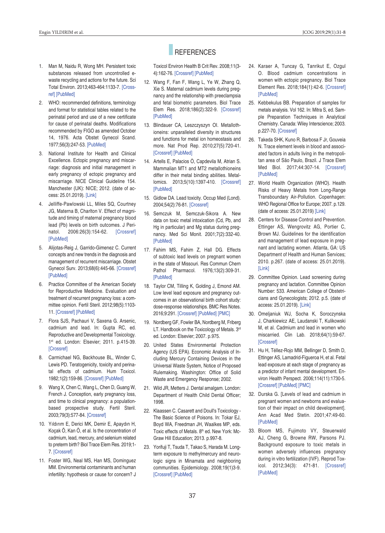# **REFERENCES**

1. Man M, Naidu R, Wong MH. Persistent toxic substances released from uncontrolled ewaste recycling and actions for the future. Sci Total Environ. 2013;463-464:1133-7. [\[Cross](https://doi.org/10.1016/j.scitotenv.2012.07.017)[ref\]](https://doi.org/10.1016/j.scitotenv.2012.07.017) [\[PubMed\]](https://www.ncbi.nlm.nih.gov/pubmed/22840636)

- 2. WHO: recommended definitions, terminology and format for statistical tables related to the perinatal period and use of a new certificate for cause of perinatal deaths. Modifications recommended by FIGO as amended October 14, 1976. Acta Obstet Gynecol Scand. 1977;56(3):247-53. [\[PubMed\]](https://www.ncbi.nlm.nih.gov/pubmed/560099)
- 3. National Institute for Health and Clinical Excellence. Ectopic pregnancy and miscarriage: diagnosis and initial management in early pregnancy of ectopic pregnancy and miscarriage. NICE Clinical Guideline 154. Manchester (UK): NICE; 2012. (date of access: 25.01.2019). [\[Link\]](https://www.nice.org.uk/guidance/cg154)
- 4. Jelliffe-Pawlowski LL, Miles SQ, Courtney JG, Materna B, Charlton V. Effect of magnitude and timing of maternal pregnancy blood lead (Pb) levels on birth outcomes. J Perinatol. 2006:26(3):154-62. [\[Crossref\]](https://doi.org/10.1038/sj.jp.7211453) [\[PubMed\]](https://www.ncbi.nlm.nih.gov/pubmed/16453008)
- 5. Alijotas-Reig J, Garrido-Gimenez C. Current concepts and new trends in the diagnosis and management of recurrent miscarriage. Obstet Gynecol Surv. 2013;68(6):445-66. [\[Crossref\]](https://doi.org/10.1097/OGX.0b013e31828aca19) [\[PubMed\]](https://www.ncbi.nlm.nih.gov/pubmed/23942472)
- 6. Practice Committee of the American Society for Reproductive Medicine. Evaluation and treatment of recurrent pregnancy loss: a committee opinion. Fertil Steril. 2012;98(5):1103- 11. [\[Crossref\]](https://doi.org/10.1016/j.fertnstert.2012.06.048) [\[PubMed\]](https://www.ncbi.nlm.nih.gov/pubmed/22835448)
- 7. Flora SJS, Pachauri V, Saxena G. Arsenic, cadmium and lead. In: Gupta RC, ed. Reproductive and Developmental Toxicology. 1st ed. London: Elsevier; 2011. p.415-39. [\[Crossref\]](https://doi.org/10.1016/B978-0-12-382032-7.10033-5)
- 8. Carmichael NG, Backhouse BL, Winder C, Lewis PD. Teratogenicity, toxicity and perinatal effects of cadmium. Hum Toxicol. 1982;1(2):159-86. [\[Crossref\]](https://doi.org/10.1177/096032718200100209) [\[PubMed\]](https://www.ncbi.nlm.nih.gov/pubmed/6757102)
- 9. Wang X, Chen C, Wang L, Chen D, Guang W, French J. Conception, early pregnancy loss, and time to clinical pregnancy: a populationbased prospective study. Fertil Steril. 2003;79(3):577-84. [\[Crossref\]](https://doi.org/10.1016/S0015-0282(02)04694-0)
- 10. Yıldırım E, Derici MK, Demir E, Apaydın H, Koçak Ö, Kan Ö, et al. Is the concentration of cadmium, lead, mercury, and selenium related to preterm birth? Biol Trace Elem Res. 2019;1- 7. [\[Crossref\]](https://doi.org/10.1007/s12011-018-1625-2)
- 11. Foster WG, Neal MS, Han MS, Dominguez MM. Environmental contaminants and human infertility: hypothesis or cause for concern? J

Toxicol Environ Health B Crit Rev. 2008;11(3- 4):162-76. [\[Crossref\]](https://doi.org/10.1080/10937400701873274) [\[PubMed\]](https://www.ncbi.nlm.nih.gov/pubmed/18368551)

- 12. Wang F, Fan F, Wang L, Ye W, Zhang Q, Xie S. Maternal cadmium levels during pregnancy and the relationship with preeclampsia and fetal biometric parameters. Biol Trace Elem Res. 2018;186(2):322-9. [\[Crossref\]](https://doi.org/10.1007/s12011-018-1312-3) [\[PubMed\]](https://www.ncbi.nlm.nih.gov/pubmed/29651732)
- 13. Blindauer CA, Leszczyszyn OI. Metallothioneins: unparalleled diversity in structures and functions for metal ion homeostasis and more. Nat Prod Rep. 2010;27(5):720-41. [\[Crossref\]](https://doi.org/10.1039/b906685n) [\[PubMed\]](https://www.ncbi.nlm.nih.gov/pubmed/20442962)
- 14. Artells E, Palacios Ò, Capdevila M, Atrian S. Mammalian MT1 and MT2 metallothioneins differ in their metal binding abilities. Metallomics. 2013;5(10):1397-410. [\[Crossref\]](https://doi.org/10.1039/c3mt00123g) [\[PubMed\]](https://www.ncbi.nlm.nih.gov/pubmed/23925449)
- 15. Gidlow DA. Lead toxicity. Occup Med (Lond). 2004;54(2):76-81. [\[Crossref\]](https://doi.org/10.1093/occmed/kqh019)
- 16. Semczuk M, Semczuk-Sikora A. New data on toxic metal intoxication (Cd, Pb, and Hg in particular) and Mg status during pregnancy. Med Sci Monit. 2001;7(2):332-40. [\[PubMed\]](https://www.ncbi.nlm.nih.gov/pubmed/11257745)
- 17. Fahim MS, Fahim Z, Hall DG. Effects of subtoxic lead levels on pregnant women in the state of Missouri. Res Commun Chern Pathol Pharmacol. 1976;13(2):309-31. [\[PubMed\]](https://www.ncbi.nlm.nih.gov/pubmed/1257615)
- 18. Taylor CM, Tilling K, Golding J, Emond AM. Low level lead exposure and pregnancy outcomes in an observational birth cohort study: dose-response relationships. BMC Res Notes. 2016;9:291. [\[Crossref\]](https://doi.org/10.1186/s13104-016-2092-5) [\[PubMed\]](https://www.ncbi.nlm.nih.gov/pubmed/27260491) [\[PMC\]](https://www.ncbi.nlm.nih.gov/pmc/articles/PMC4893212)
- 19. Nordberg GF, Fowler BA, Nordberg M, Friberg LT. Handbook on the Toxicology of Metals. 3rd ed. London: Elsevier; 2007. p.975.
- 20. United States Environmental Protection Agency (US EPA). Economic Analysis of Including Mercury Containing Devices in the Universal Waste System, Notice of Proposed Rulemaking. Washington: Office of Solid Waste and Emergency Response; 2002.
- 21. Wild JR, Metters J. Dental amalgam. London: Department of Health Child Dental Officer; 1998.
- 22. Klaassen C. Casarett and Doull's Toxicology The Basic Science of Poisons. In: Tokar EJ, Boyd WA, Freedman JH, Waalkes MP, eds. Toxic effects of Metals. 8th ed. New York: Mc-Graw Hill Education; 2013. p.997-8.
- 23. Yorifuji T, Tsuda T, Takao S, Harada M. Longterm exposure to methylmercury and neurologic signs in Minamata and neighboring communities. Epidemiology. 2008;19(1)3-9. [\[Crossref\]]( https://doi.org/10.1097/EDE.0b013e31815c09d2) [\[PubMed\]](https://www.ncbi.nlm.nih.gov/pubmed/18091411)
- <span id="page-6-0"></span>24. Karaer A, Tuncay G, Tanrikut E, Ozgul O. Blood cadmium concentrations in women with ectopic pregnancy. Biol Trace Element Res. 2018;184(1):42-6. [\[Crossref\]](https://doi.org/10.1007/s12011-017-1179-8) [\[PubMed\]](https://www.ncbi.nlm.nih.gov/pubmed/28990142)
- 25. Kebbekulus BB. Preparation of samples for metals analysis. Vol 162. In: Mitra S, ed. Sample Preparation Techniques in Analytical Chemistry. Canada: Wiley Interscience; 2003. p.227-70. [\[Crossref\]](https://doi.org/10.1002/0471457817.ch5)
- 26. Takeda SHK, Kuno R, Barbosa F Jr, Gouveia N. Trace element levels in blood and associated factors in adults living in the metropolitan area of São Paulo, Brazil. J Trace Elem Med Biol. 2017;44:307-14. [\[Crossref\]](https://doi.org/10.1016/j.jtemb.2017.09.005) [\[PubMed\]](https://www.ncbi.nlm.nih.gov/pubmed/28965592)
- 27. World Health Organization (WHO). Health Risks of Heavy Metals from Long-Range Transboundary Air-Pollution. Copenhagen: WHO Regional Office for Europe; 2007. p.129. (date of access: 25.01.2019) [\[Link\]](http://www.euro.who.int/en/publications/abstracts/health-risks-of-heavy-metals-from-long-range-transboundary-air-pollution-2007)
- 28. Centers for Disease Control and Prevention. Ettinger AS, Wengrovitz AG, Portier C, Brown MJ. Guidelines for the identification and management of lead exposure in pregnant and lactating women. Atlanta, GA: US Department of Health and Human Services; 2010. p.267. (date of access: 25.01.2019). [\[Link\]](http://www.cdc.gov/nceh/lead/publications/LeadandPregnancy2010.pdf)
- 29. Committee Opinion. Lead screening during pregnancy and lactation. Committee Opinion Number: 533. American College of Obstetricians and Gynecologists; 2012. p.5. (date of access: 25.01.2019). [\[Link\]](http://www.acog.org/~/media/Committee%20Opinions/Committee%20on%20Obstetric%20Practice/co533.pdf ?dmc=1&ts=20131007T0412098105)
- 30. Omeljaniuk WJ, Socha K, Soroczynska J, Charkiewicz AE, Laudanski T, Kulikowski M, et al. Cadmium and lead in women who miscarried. Clin Lab. 2018;64(1):59-67. **[\[Crossref\]](https://doi.org/10.7754/Clin.Lab.2017.170611)**
- 31. Hu H, Téllez-Rojo MM, Bellinger D, Smith D, Ettinger AS, Lamadrid-Figueroa H, et al. Fetal lead exposure at each stage of pregnancy as a predictor of infant mental development. Environ Health Perspect. 2006;114(11):1730-5. [\[Crossref\]](https://doi.org/10.1289/ehp.9067) [\[PubMed\]](https://www.ncbi.nlm.nih.gov/pubmed/17107860) [\[PMC\]](https://www.ncbi.nlm.nih.gov/pmc/articles/PMC1665421)
- 32. Durska G. [Levels of lead and cadmium in pregnant women and newborns and evaluation of their impact on child development]. Ann Acad Med Stetin. 2001;47:49-60. [\[PubMed\]](https://www.ncbi.nlm.nih.gov/pubmed/12514901)
- 33. Bloom MS, Fujimoto VY, Steuerwald AJ, Cheng G, Browne RW, Parsons PJ. Background exposure to toxic metals in women adversely influences pregnancy during in vitro fertilization (IVF). Reprod Toxicol. 2012;34(3): 471-81. [\[Crossref\]](https://doi.org/10.1016/j.reprotox.2012.06.002) [\[PubMed\]](https://www.ncbi.nlm.nih.gov/pubmed/22732149)